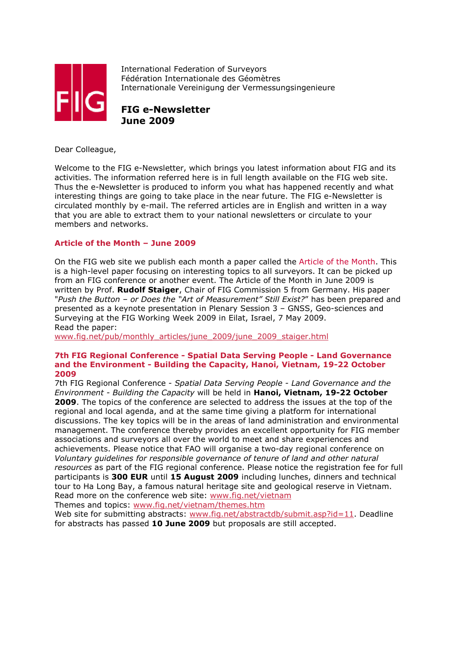

International Federation of Surveyors Fédération Internationale des Géomètres Internationale Vereinigung der Vermessungsingenieure

**FIG e-Newsletter June 2009**

Dear Colleague,

Welcome to the FIG e-Newsletter, which brings you latest information about FIG and its activities. The information referred here is in full length available on the FIG web site. Thus the e-Newsletter is produced to inform you what has happened recently and what interesting things are going to take place in the near future. The FIG e-Newsletter is circulated monthly by e-mail. The referred articles are in English and written in a way that you are able to extract them to your national newsletters or circulate to your members and networks.

# **Article of the Month – June 2009**

On the FIG web site we publish each month a paper called the Article of the Month. This is a high-level paper focusing on interesting topics to all surveyors. It can be picked up from an FIG conference or another event. The Article of the Month in June 2009 is written by Prof. **Rudolf Staiger**, Chair of FIG Commission 5 from Germany. His paper "*Push the Button – or Does the "Art of Measurement" Still Exist?*" has been prepared and presented as a keynote presentation in Plenary Session 3 – GNSS, Geo-sciences and Surveying at the FIG Working Week 2009 in Eilat, Israel, 7 May 2009. Read the paper:

www.fig.net/pub/monthly\_articles/june\_2009/june\_2009\_staiger.html

#### **7th FIG Regional Conference - Spatial Data Serving People - Land Governance and the Environment - Building the Capacity, Hanoi, Vietnam, 19-22 October 2009**

7th FIG Regional Conference - *Spatial Data Serving People - Land Governance and the Environment - Building the Capacity* will be held in **Hanoi, Vietnam, 19-22 October 2009**. The topics of the conference are selected to address the issues at the top of the regional and local agenda, and at the same time giving a platform for international discussions. The key topics will be in the areas of land administration and environmental management. The conference thereby provides an excellent opportunity for FIG member associations and surveyors all over the world to meet and share experiences and achievements. Please notice that FAO will organise a two-day regional conference on *Voluntary guidelines for responsible governance of tenure of land and other natural resources* as part of the FIG regional conference. Please notice the registration fee for full participants is **300 EUR** until **15 August 2009** including lunches, dinners and technical tour to Ha Long Bay, a famous natural heritage site and geological reserve in Vietnam. Read more on the conference web site: www.fig.net/vietnam

Themes and topics: www.fig.net/vietnam/themes.htm

Web site for submitting abstracts: www.fig.net/abstractdb/submit.asp?id=11. Deadline for abstracts has passed **10 June 2009** but proposals are still accepted.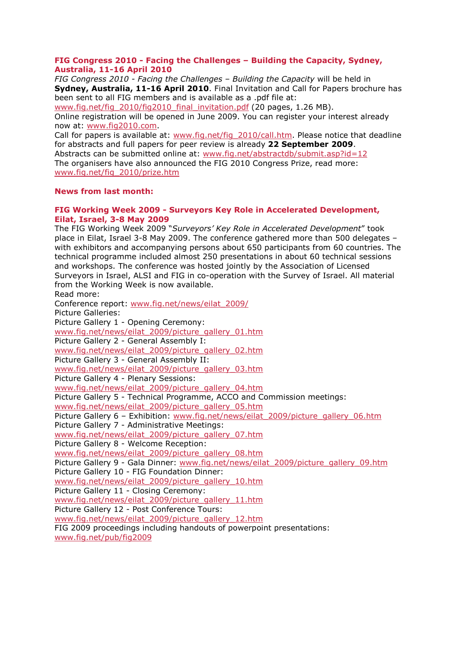## **FIG Congress 2010 - Facing the Challenges – Building the Capacity, Sydney, Australia, 11-16 April 2010**

*FIG Congress 2010 - Facing the Challenges – Building the Capacity* will be held in **Sydney, Australia, 11-16 April 2010**. Final Invitation and Call for Papers brochure has been sent to all FIG members and is available as a .pdf file at:

www.fig.net/fig\_2010/fig2010\_final\_invitation.pdf (20 pages, 1.26 MB).

Online registration will be opened in June 2009. You can register your interest already now at: www.fig2010.com.

Call for papers is available at: www.fig.net/fig\_2010/call.htm. Please notice that deadline for abstracts and full papers for peer review is already **22 September 2009**. Abstracts can be submitted online at: www.fig.net/abstractdb/submit.asp?id=12 The organisers have also announced the FIG 2010 Congress Prize, read more:

www.fig.net/fig\_2010/prize.htm

## **News from last month:**

## **FIG Working Week 2009 - Surveyors Key Role in Accelerated Development, Eilat, Israel, 3-8 May 2009**

The FIG Working Week 2009 "*Surveyors' Key Role in Accelerated Development*" took place in Eilat, Israel 3-8 May 2009. The conference gathered more than 500 delegates – with exhibitors and accompanying persons about 650 participants from 60 countries. The technical programme included almost 250 presentations in about 60 technical sessions and workshops. The conference was hosted jointly by the Association of Licensed Surveyors in Israel, ALSI and FIG in co-operation with the Survey of Israel. All material from the Working Week is now available. Read more: Conference report: www.fig.net/news/eilat\_2009/ Picture Galleries:

Picture Gallery 1 - Opening Ceremony: www.fig.net/news/eilat\_2009/picture\_gallery\_01.htm Picture Gallery 2 - General Assembly I: www.fig.net/news/eilat\_2009/picture\_gallery\_02.htm Picture Gallery 3 - General Assembly II: www.fig.net/news/eilat\_2009/picture\_gallery\_03.htm Picture Gallery 4 - Plenary Sessions: www.fig.net/news/eilat\_2009/picture\_gallery\_04.htm Picture Gallery 5 - Technical Programme, ACCO and Commission meetings: www.fig.net/news/eilat\_2009/picture\_gallery\_05.htm Picture Gallery 6 – Exhibition: www.fig.net/news/eilat\_2009/picture\_gallery\_06.htm Picture Gallery 7 - Administrative Meetings: www.fig.net/news/eilat\_2009/picture\_gallery\_07.htm Picture Gallery 8 - Welcome Reception: www.fig.net/news/eilat\_2009/picture\_gallery\_08.htm Picture Gallery 9 - Gala Dinner: www.fig.net/news/eilat\_2009/picture\_gallery\_09.htm Picture Gallery 10 - FIG Foundation Dinner: www.fig.net/news/eilat\_2009/picture\_gallery\_10.htm Picture Gallery 11 - Closing Ceremony: www.fig.net/news/eilat\_2009/picture\_gallery\_11.htm Picture Gallery 12 - Post Conference Tours: www.fig.net/news/eilat\_2009/picture\_gallery\_12.htm FIG 2009 proceedings including handouts of powerpoint presentations: www.fig.net/pub/fig2009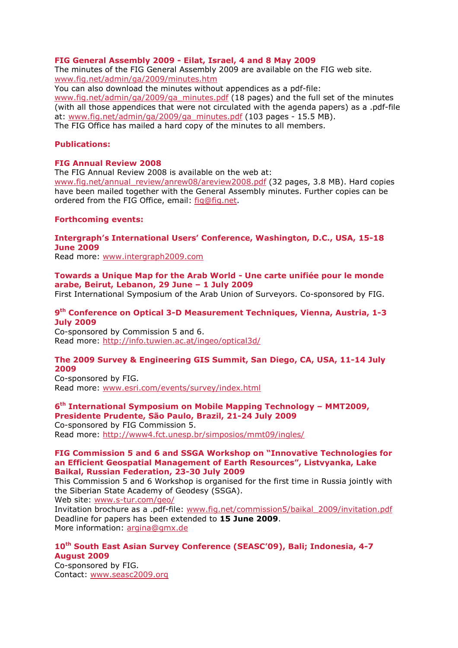## **FIG General Assembly 2009 - Eilat, Israel, 4 and 8 May 2009**

The minutes of the FIG General Assembly 2009 are available on the FIG web site. www.fig.net/admin/ga/2009/minutes.htm

You can also download the minutes without appendices as a pdf-file: www.fig.net/admin/ga/2009/ga\_minutes.pdf (18 pages) and the full set of the minutes (with all those appendices that were not circulated with the agenda papers) as a .pdf-file at: www.fig.net/admin/ga/2009/ga\_minutes.pdf (103 pages - 15.5 MB). The FIG Office has mailed a hard copy of the minutes to all members.

#### **Publications:**

#### **FIG Annual Review 2008**

The FIG Annual Review 2008 is available on the web at:

www.fig.net/annual\_review/anrew08/areview2008.pdf (32 pages, 3.8 MB). Hard copies have been mailed together with the General Assembly minutes. Further copies can be ordered from the FIG Office, email: fig@fig.net.

#### **Forthcoming events:**

**Intergraph's International Users' Conference, Washington, D.C., USA, 15-18 June 2009** 

Read more: www.intergraph2009.com

**Towards a Unique Map for the Arab World - Une carte unifiée pour le monde arabe, Beirut, Lebanon, 29 June – 1 July 2009** 

First International Symposium of the Arab Union of Surveyors. Co-sponsored by FIG.

## **9th Conference on Optical 3-D Measurement Techniques, Vienna, Austria, 1-3 July 2009**

Co-sponsored by Commission 5 and 6. Read more: http://info.tuwien.ac.at/ingeo/optical3d/

# **The 2009 Survey & Engineering GIS Summit, San Diego, CA, USA, 11-14 July 2009**

Co-sponsored by FIG. Read more: www.esri.com/events/survey/index.html

#### **6th International Symposium on Mobile Mapping Technology – MMT2009, Presidente Prudente, São Paulo, Brazil, 21-24 July 2009**

Co-sponsored by FIG Commission 5. Read more: http://www4.fct.unesp.br/simposios/mmt09/ingles/

#### **FIG Commission 5 and 6 and SSGA Workshop on "Innovative Technologies for an Efficient Geospatial Management of Earth Resources", Listvyanka, Lake Baikal, Russian Federation, 23-30 July 2009**

This Commission 5 and 6 Workshop is organised for the first time in Russia jointly with the Siberian State Academy of Geodesy (SSGA).

Web site: www.s-tur.com/geo/

Invitation brochure as a .pdf-file: www.fig.net/commission5/baikal\_2009/invitation.pdf Deadline for papers has been extended to **15 June 2009**. More information: argina@gmx.de

# **10th South East Asian Survey Conference (SEASC'09), Bali; Indonesia, 4-7 August 2009**

Co-sponsored by FIG. Contact: www.seasc2009.org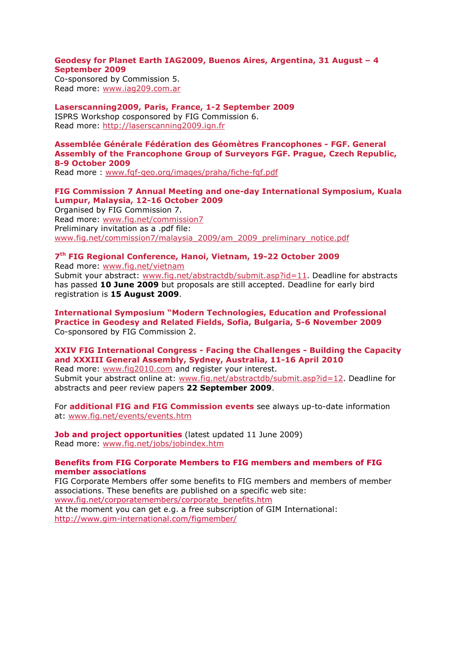## **Geodesy for Planet Earth IAG2009, Buenos Aires, Argentina, 31 August – 4 September 2009**

Co-sponsored by Commission 5. Read more: www.iag209.com.ar

**Laserscanning2009, Paris, France, 1-2 September 2009**  ISPRS Workshop cosponsored by FIG Commission 6. Read more: http://laserscanning2009.ign.fr

# **Assemblée Générale Fédération des Géomètres Francophones - FGF. General Assembly of the Francophone Group of Surveyors FGF. Prague, Czech Republic, 8-9 October 2009**

Read more : www.fgf-geo.org/images/praha/fiche-fgf.pdf

# **FIG Commission 7 Annual Meeting and one-day International Symposium, Kuala Lumpur, Malaysia, 12-16 October 2009**  Organised by FIG Commission 7. Read more: www.fig.net/commission7 Preliminary invitation as a .pdf file:

www.fig.net/commission7/malaysia\_2009/am\_2009\_preliminary\_notice.pdf

# **7th FIG Regional Conference, Hanoi, Vietnam, 19-22 October 2009**

Read more: www.fig.net/vietnam Submit your abstract: www.fig.net/abstractdb/submit.asp?id=11. Deadline for abstracts has passed **10 June 2009** but proposals are still accepted. Deadline for early bird registration is **15 August 2009**.

**International Symposium "Modern Technologies, Education and Professional Practice in Geodesy and Related Fields, Sofia, Bulgaria, 5-6 November 2009**  Co-sponsored by FIG Commission 2.

# **XXIV FIG International Congress - Facing the Challenges - Building the Capacity and XXXIII General Assembly, Sydney, Australia, 11-16 April 2010**

Read more: www.fig2010.com and register your interest. Submit your abstract online at: www.fig.net/abstractdb/submit.asp?id=12. Deadline for abstracts and peer review papers **22 September 2009**.

For **additional FIG and FIG Commission events** see always up-to-date information at: www.fig.net/events/events.htm

**Job and project opportunities** (latest updated 11 June 2009) Read more: www.fig.net/jobs/jobindex.htm

## **Benefits from FIG Corporate Members to FIG members and members of FIG member associations**

FIG Corporate Members offer some benefits to FIG members and members of member associations. These benefits are published on a specific web site: www.fig.net/corporatemembers/corporate\_benefits.htm At the moment you can get e.g. a free subscription of GIM International: http://www.gim-international.com/figmember/